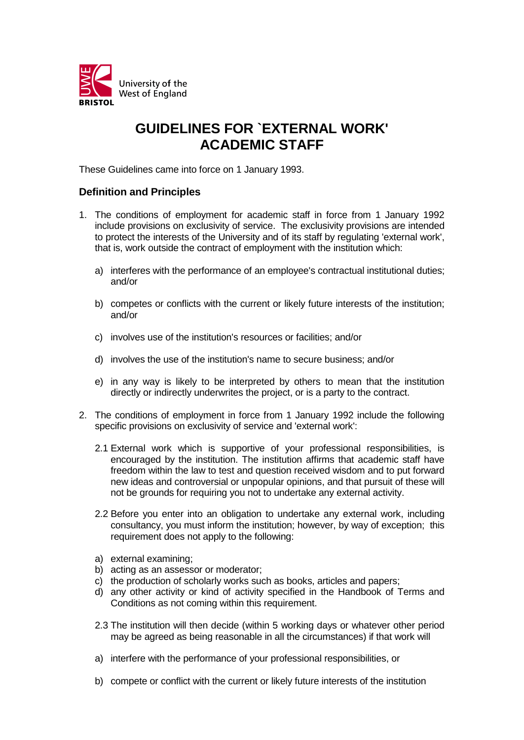

## **GUIDELINES FOR `EXTERNAL WORK' ACADEMIC STAFF**

These Guidelines came into force on 1 January 1993.

## **Definition and Principles**

- 1. The conditions of employment for academic staff in force from 1 January 1992 include provisions on exclusivity of service. The exclusivity provisions are intended to protect the interests of the University and of its staff by regulating 'external work', that is, work outside the contract of employment with the institution which:
	- a) interferes with the performance of an employee's contractual institutional duties; and/or
	- b) competes or conflicts with the current or likely future interests of the institution; and/or
	- c) involves use of the institution's resources or facilities; and/or
	- d) involves the use of the institution's name to secure business; and/or
	- e) in any way is likely to be interpreted by others to mean that the institution directly or indirectly underwrites the project, or is a party to the contract.
- 2. The conditions of employment in force from 1 January 1992 include the following specific provisions on exclusivity of service and 'external work':
	- 2.1 External work which is supportive of your professional responsibilities, is encouraged by the institution. The institution affirms that academic staff have freedom within the law to test and question received wisdom and to put forward new ideas and controversial or unpopular opinions, and that pursuit of these will not be grounds for requiring you not to undertake any external activity.
	- 2.2 Before you enter into an obligation to undertake any external work, including consultancy, you must inform the institution; however, by way of exception; this requirement does not apply to the following:
	- a) external examining;
	- b) acting as an assessor or moderator;
	- c) the production of scholarly works such as books, articles and papers;
	- d) any other activity or kind of activity specified in the Handbook of Terms and Conditions as not coming within this requirement.
	- 2.3 The institution will then decide (within 5 working days or whatever other period may be agreed as being reasonable in all the circumstances) if that work will
	- a) interfere with the performance of your professional responsibilities, or
	- b) compete or conflict with the current or likely future interests of the institution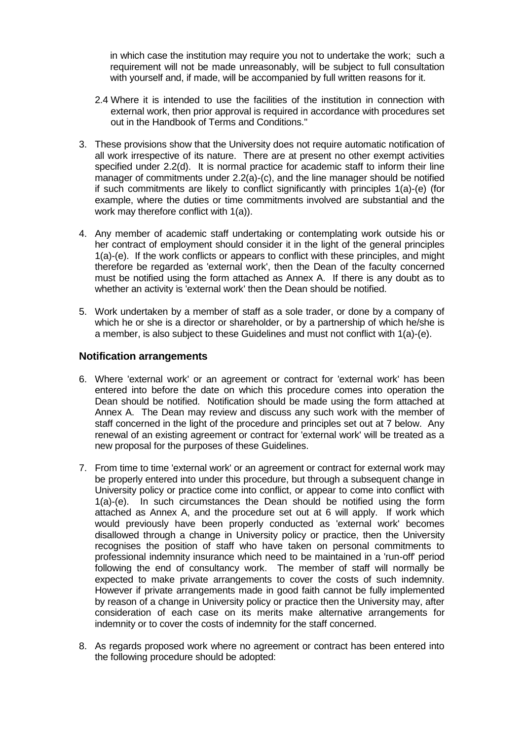in which case the institution may require you not to undertake the work; such a requirement will not be made unreasonably, will be subject to full consultation with yourself and, if made, will be accompanied by full written reasons for it.

- 2.4 Where it is intended to use the facilities of the institution in connection with external work, then prior approval is required in accordance with procedures set out in the Handbook of Terms and Conditions."
- 3. These provisions show that the University does not require automatic notification of all work irrespective of its nature. There are at present no other exempt activities specified under 2.2(d). It is normal practice for academic staff to inform their line manager of commitments under 2.2(a)-(c), and the line manager should be notified if such commitments are likely to conflict significantly with principles 1(a)-(e) (for example, where the duties or time commitments involved are substantial and the work may therefore conflict with 1(a)).
- 4. Any member of academic staff undertaking or contemplating work outside his or her contract of employment should consider it in the light of the general principles 1(a)-(e). If the work conflicts or appears to conflict with these principles, and might therefore be regarded as 'external work', then the Dean of the faculty concerned must be notified using the form attached as Annex A. If there is any doubt as to whether an activity is 'external work' then the Dean should be notified.
- 5. Work undertaken by a member of staff as a sole trader, or done by a company of which he or she is a director or shareholder, or by a partnership of which he/she is a member, is also subject to these Guidelines and must not conflict with 1(a)-(e).

## **Notification arrangements**

- 6. Where 'external work' or an agreement or contract for 'external work' has been entered into before the date on which this procedure comes into operation the Dean should be notified. Notification should be made using the form attached at Annex A. The Dean may review and discuss any such work with the member of staff concerned in the light of the procedure and principles set out at 7 below. Any renewal of an existing agreement or contract for 'external work' will be treated as a new proposal for the purposes of these Guidelines.
- 7. From time to time 'external work' or an agreement or contract for external work may be properly entered into under this procedure, but through a subsequent change in University policy or practice come into conflict, or appear to come into conflict with 1(a)-(e). In such circumstances the Dean should be notified using the form attached as Annex A, and the procedure set out at 6 will apply. If work which would previously have been properly conducted as 'external work' becomes disallowed through a change in University policy or practice, then the University recognises the position of staff who have taken on personal commitments to professional indemnity insurance which need to be maintained in a 'run-off' period following the end of consultancy work. The member of staff will normally be expected to make private arrangements to cover the costs of such indemnity. However if private arrangements made in good faith cannot be fully implemented by reason of a change in University policy or practice then the University may, after consideration of each case on its merits make alternative arrangements for indemnity or to cover the costs of indemnity for the staff concerned.
- 8. As regards proposed work where no agreement or contract has been entered into the following procedure should be adopted: